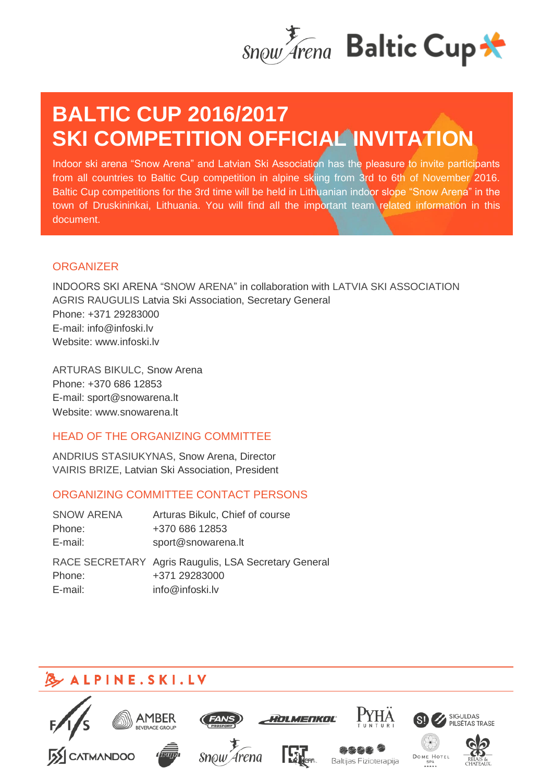

# **BALTIC CUP 2016/2017 SKI COMPETITION OFFICIAL INVITATION**

Indoor ski arena "Snow Arena" and Latvian Ski Association has the pleasure to invite participants from all countries to Baltic Cup competition in alpine skiing from 3rd to 6th of November 2016. Baltic Cup competitions for the 3rd time will be held in Lithuanian indoor slope "Snow Arena" in the town of Druskininkai, Lithuania. You will find all the important team related information in this document.

### **ORGANIZER**

INDOORS SKI ARENA "SNOW ARENA" in collaboration with LATVIA SKI ASSOCIATION AGRIS RAUGULIS Latvia Ski Association, Secretary General Phone: +371 29283000 E-mail: [info@infoski.lv](mailto:info@infoski.lv) Website: [www.infoski.lv](http://www.infoski.lv/)

ARTURAS BIKULC, Snow Arena Phone: +370 686 12853 E-mail: [sport@snowarena.lt](mailto:sport@snowarena.lt)  Website: [www.snowarena.lt](http://www.snowarena.lt/)

## HEAD OF THE ORGANIZING COMMITTEE

ANDRIUS STASIUKYNAS, Snow Arena, Director VAIRIS BRIZE, Latvian Ski Association, President

## ORGANIZING COMMITTEE CONTACT PERSONS

| <b>SNOW ARENA</b> | Arturas Bikulc, Chief of course                                                          |
|-------------------|------------------------------------------------------------------------------------------|
| Phone:            | +370 686 12853                                                                           |
| E-mail:           | sport@snowarena.lt                                                                       |
| Phone:<br>E-mail: | RACE SECRETARY Agris Raugulis, LSA Secretary General<br>+371 29283000<br>info@infoski.lv |

## **B** ALPINE.SKI.LV

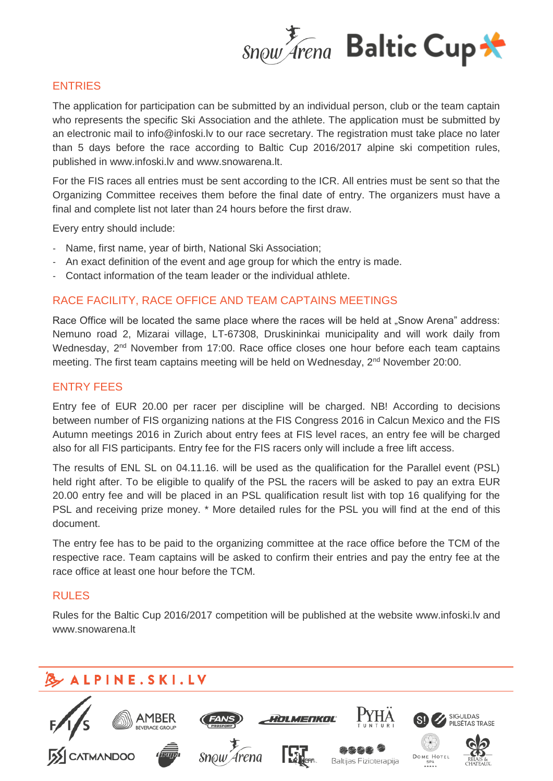

#### ENTRIES

The application for participation can be submitted by an individual person, club or the team captain who represents the specific Ski Association and the athlete. The application must be submitted by an electronic mail to [info@infoski.lv](mailto:info@infoski.lv) to our race secretary. The registration must take place no later than 5 days before the race according to Baltic Cup 2016/2017 alpine ski competition rules, published in [www.infoski.lv](http://www.infoski.lv/) and [www.snowarena.lt.](http://www.snowarena.lt/)

For the FIS races all entries must be sent according to the ICR. All entries must be sent so that the Organizing Committee receives them before the final date of entry. The organizers must have a final and complete list not later than 24 hours before the first draw.

Every entry should include:

- Name, first name, year of birth, National Ski Association;
- An exact definition of the event and age group for which the entry is made.
- Contact information of the team leader or the individual athlete.

#### RACE FACILITY, RACE OFFICE AND TEAM CAPTAINS MEETINGS

Race Office will be located the same place where the races will be held at "Snow Arena" address: Nemuno road 2, Mizarai village, LT-67308, Druskininkai municipality and will work daily from Wednesday, 2<sup>nd</sup> November from 17:00. Race office closes one hour before each team captains meeting. The first team captains meeting will be held on Wednesday, 2<sup>nd</sup> November 20:00.

#### ENTRY FEES

Entry fee of EUR 20.00 per racer per discipline will be charged. NB! According to decisions between number of FIS organizing nations at the FIS Congress 2016 in Calcun Mexico and the FIS Autumn meetings 2016 in Zurich about entry fees at FIS level races, an entry fee will be charged also for all FIS participants. Entry fee for the FIS racers only will include a free lift access.

The results of ENL SL on 04.11.16. will be used as the qualification for the Parallel event (PSL) held right after. To be eligible to qualify of the PSL the racers will be asked to pay an extra EUR 20.00 entry fee and will be placed in an PSL qualification result list with top 16 qualifying for the PSL and receiving prize money. \* More detailed rules for the PSL you will find at the end of this document.

The entry fee has to be paid to the organizing committee at the race office before the TCM of the respective race. Team captains will be asked to confirm their entries and pay the entry fee at the race office at least one hour before the TCM.

#### RULES

Rules for the Baltic Cup 2016/2017 competition will be published at the website www.infoski.lv and www.snowarena.lt

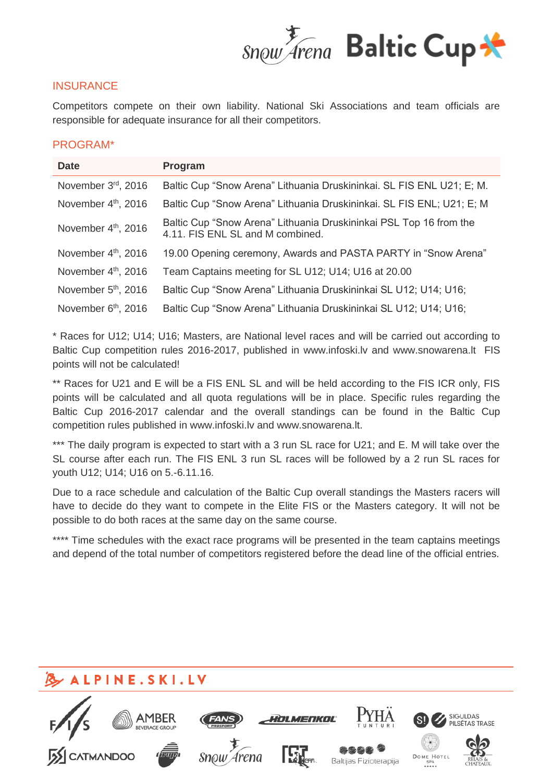

#### **INSURANCE**

Competitors compete on their own liability. National Ski Associations and team officials are responsible for adequate insurance for all their competitors.

#### PROGRAM\*

| <b>Date</b>                     | Program                                                                                                |
|---------------------------------|--------------------------------------------------------------------------------------------------------|
| November 3rd, 2016              | Baltic Cup "Snow Arena" Lithuania Druskininkai. SL FIS ENL U21; E; M.                                  |
| November 4th, 2016              | Baltic Cup "Snow Arena" Lithuania Druskininkai. SL FIS ENL; U21; E; M                                  |
| November 4th, 2016              | Baltic Cup "Snow Arena" Lithuania Druskininkai PSL Top 16 from the<br>4.11. FIS ENL SL and M combined. |
| November 4th, 2016              | 19.00 Opening ceremony, Awards and PASTA PARTY in "Snow Arena"                                         |
| November 4 <sup>th</sup> , 2016 | Team Captains meeting for SL U12; U14; U16 at 20.00                                                    |
| November 5 <sup>th</sup> , 2016 | Baltic Cup "Snow Arena" Lithuania Druskininkai SL U12; U14; U16;                                       |
| November 6 <sup>th</sup> , 2016 | Baltic Cup "Snow Arena" Lithuania Druskininkai SL U12; U14; U16;                                       |

\* Races for U12; U14; U16; Masters, are National level races and will be carried out according to Baltic Cup competition rules 2016-2017, published in www.infoski.lv and www.snowarena.lt FIS points will not be calculated!

\*\* Races for U21 and E will be a FIS ENL SL and will be held according to the FIS ICR only, FIS points will be calculated and all quota regulations will be in place. Specific rules regarding the Baltic Cup 2016-2017 calendar and the overall standings can be found in the Baltic Cup competition rules published in www.infoski.lv and [www.snowarena.lt.](http://www.snowarena.lt/)

\*\*\* The daily program is expected to start with a 3 run SL race for U21; and E. M will take over the SL course after each run. The FIS ENL 3 run SL races will be followed by a 2 run SL races for youth U12; U14; U16 on 5.-6.11.16.

Due to a race schedule and calculation of the Baltic Cup overall standings the Masters racers will have to decide do they want to compete in the Elite FIS or the Masters category. It will not be possible to do both races at the same day on the same course.

\*\*\*\* Time schedules with the exact race programs will be presented in the team captains meetings and depend of the total number of competitors registered before the dead line of the official entries.

## **ALPINE.SKI.LV SIGULDAS** YN MENKAL PILSĒTAS TRASE Arena DOME HOTE Baltijas Fizioterapija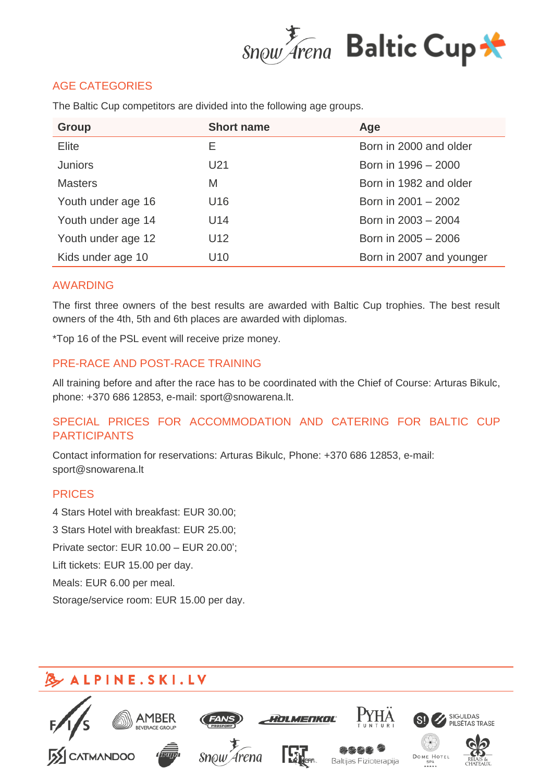

## AGE CATEGORIES

| <b>Group</b>       | <b>Short name</b> | Age                      |
|--------------------|-------------------|--------------------------|
| Elite              | Е                 | Born in 2000 and older   |
| <b>Juniors</b>     | U21               | Born in 1996 - 2000      |
| <b>Masters</b>     | M                 | Born in 1982 and older   |
| Youth under age 16 | U <sub>16</sub>   | Born in 2001 - 2002      |
| Youth under age 14 | U14               | Born in 2003 - 2004      |
| Youth under age 12 | U <sub>12</sub>   | Born in 2005 - 2006      |
| Kids under age 10  | U <sub>10</sub>   | Born in 2007 and younger |

The Baltic Cup competitors are divided into the following age groups.

#### AWARDING

The first three owners of the best results are awarded with Baltic Cup trophies. The best result owners of the 4th, 5th and 6th places are awarded with diplomas.

\*Top 16 of the PSL event will receive prize money.

#### PRE-RACE AND POST-RACE TRAINING

All training before and after the race has to be coordinated with the Chief of Course: Arturas Bikulc, phone: +370 686 12853, e-mail: sport@snowarena.lt.

### SPECIAL PRICES FOR ACCOMMODATION AND CATERING FOR BALTIC CUP PARTICIPANTS

Contact information for reservations: Arturas Bikulc, Phone: +370 686 12853, e-mail: sport@snowarena.lt

#### PRICES

4 Stars Hotel with breakfast: EUR 30.00; 3 Stars Hotel with breakfast: EUR 25.00; Private sector: EUR 10.00 – EUR 20.00'; Lift tickets: EUR 15.00 per day. Meals: EUR 6.00 per meal. Storage/service room: EUR 15.00 per day.

## **ALPINE.SKI.LV**

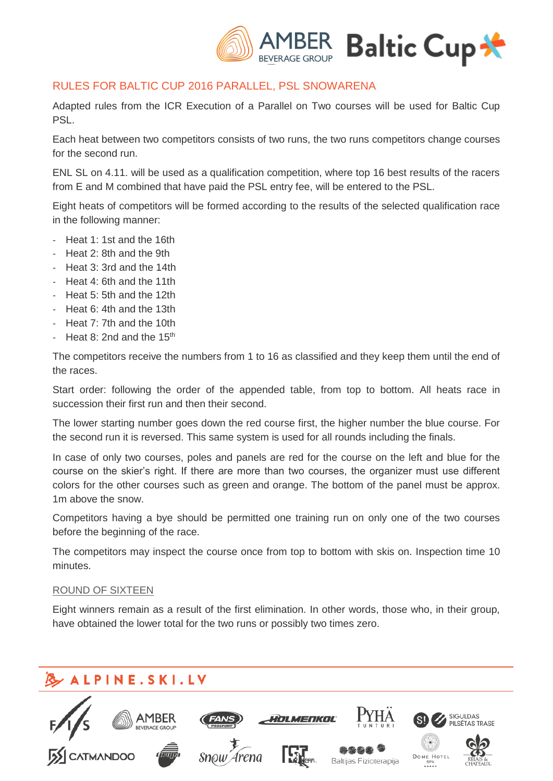

## RULES FOR BALTIC CUP 2016 PARALLEL, PSL SNOWARENA

Adapted rules from the ICR Execution of a Parallel on Two courses will be used for Baltic Cup PSL.

Each heat between two competitors consists of two runs, the two runs competitors change courses for the second run.

ENL SL on 4.11. will be used as a qualification competition, where top 16 best results of the racers from E and M combined that have paid the PSL entry fee, will be entered to the PSL.

Eight heats of competitors will be formed according to the results of the selected qualification race in the following manner:

- Heat 1: 1st and the 16th
- Heat 2: 8th and the 9th
- Heat 3: 3rd and the 14th
- Heat 4: 6th and the 11th
- Heat 5: 5th and the 12th
- Heat 6: 4th and the 13th
- Heat 7: 7th and the 10th
- Heat 8: 2nd and the  $15<sup>th</sup>$

The competitors receive the numbers from 1 to 16 as classified and they keep them until the end of the races.

Start order: following the order of the appended table, from top to bottom. All heats race in succession their first run and then their second.

The lower starting number goes down the red course first, the higher number the blue course. For the second run it is reversed. This same system is used for all rounds including the finals.

In case of only two courses, poles and panels are red for the course on the left and blue for the course on the skier's right. If there are more than two courses, the organizer must use different colors for the other courses such as green and orange. The bottom of the panel must be approx. 1m above the snow.

Competitors having a bye should be permitted one training run on only one of the two courses before the beginning of the race.

The competitors may inspect the course once from top to bottom with skis on. Inspection time 10 minutes.

#### ROUND OF SIXTEEN

Eight winners remain as a result of the first elimination. In other words, those who, in their group, have obtained the lower total for the two runs or possibly two times zero.

## ALPINE.SKI.LV

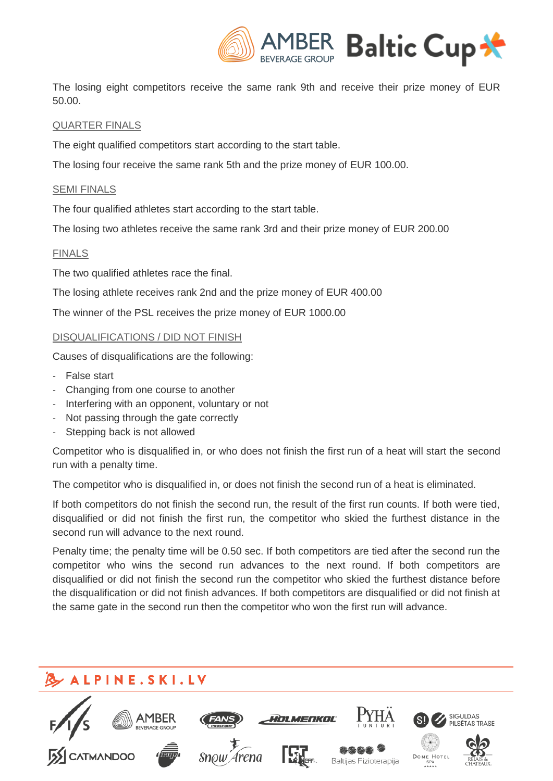

The losing eight competitors receive the same rank 9th and receive their prize money of EUR 50.00.

#### QUARTER FINALS

The eight qualified competitors start according to the start table.

The losing four receive the same rank 5th and the prize money of EUR 100.00.

#### SEMI FINALS

The four qualified athletes start according to the start table.

The losing two athletes receive the same rank 3rd and their prize money of EUR 200.00

#### FINALS

The two qualified athletes race the final.

The losing athlete receives rank 2nd and the prize money of EUR 400.00

The winner of the PSL receives the prize money of EUR 1000.00

#### DISQUALIFICATIONS / DID NOT FINISH

Causes of disqualifications are the following:

- False start
- Changing from one course to another
- Interfering with an opponent, voluntary or not
- Not passing through the gate correctly
- Stepping back is not allowed

Competitor who is disqualified in, or who does not finish the first run of a heat will start the second run with a penalty time.

The competitor who is disqualified in, or does not finish the second run of a heat is eliminated.

If both competitors do not finish the second run, the result of the first run counts. If both were tied, disqualified or did not finish the first run, the competitor who skied the furthest distance in the second run will advance to the next round.

Penalty time; the penalty time will be 0.50 sec. If both competitors are tied after the second run the competitor who wins the second run advances to the next round. If both competitors are disqualified or did not finish the second run the competitor who skied the furthest distance before the disqualification or did not finish advances. If both competitors are disqualified or did not finish at the same gate in the second run then the competitor who won the first run will advance.

## ALPINE.SKI.LV